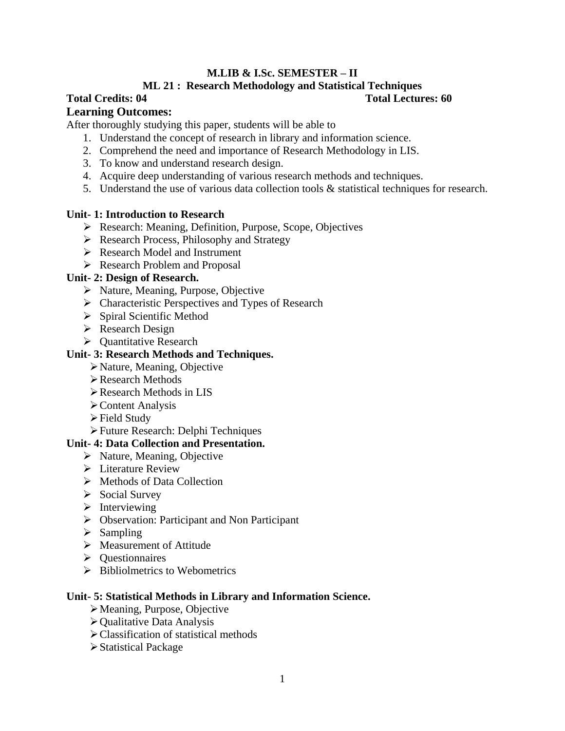#### **M.LIB & I.Sc. SEMESTER – II**

#### **ML 21 : Research Methodology and Statistical Techniques**

#### **Total Credits: 04 Total Lectures: 60**

#### **Learning Outcomes:**

After thoroughly studying this paper, students will be able to

- 1. Understand the concept of research in library and information science.
- 2. Comprehend the need and importance of Research Methodology in LIS.
- 3. To know and understand research design.
- 4. Acquire deep understanding of various research methods and techniques.
- 5. Understand the use of various data collection tools & statistical techniques for research.

#### **Unit- 1: Introduction to Research**

- Research: Meaning, Definition, Purpose, Scope, Objectives
- $\triangleright$  Research Process, Philosophy and Strategy
- Research Model and Instrument
- Research Problem and Proposal

#### **Unit- 2: Design of Research.**

- $\triangleright$  Nature, Meaning, Purpose, Objective
- $\triangleright$  Characteristic Perspectives and Types of Research
- $\triangleright$  Spiral Scientific Method
- Research Design
- $\triangleright$  Ouantitative Research

#### **Unit- 3: Research Methods and Techniques.**

- Nature, Meaning, Objective
- Research Methods
- Research Methods in LIS
- Content Analysis
- Field Study
- Future Research: Delphi Techniques

#### **Unit- 4: Data Collection and Presentation.**

- $\triangleright$  Nature, Meaning, Objective
- $\triangleright$  Literature Review
- Methods of Data Collection
- $\triangleright$  Social Survey
- $\triangleright$  Interviewing
- Observation: Participant and Non Participant
- $\triangleright$  Sampling
- $\triangleright$  Measurement of Attitude
- $\triangleright$  Ouestionnaires
- $\triangleright$  Bibliolmetrics to Webometrics

#### **Unit- 5: Statistical Methods in Library and Information Science.**

- Meaning, Purpose, Objective
- $\triangleright$  Qualitative Data Analysis
- Classification of statistical methods
- Statistical Package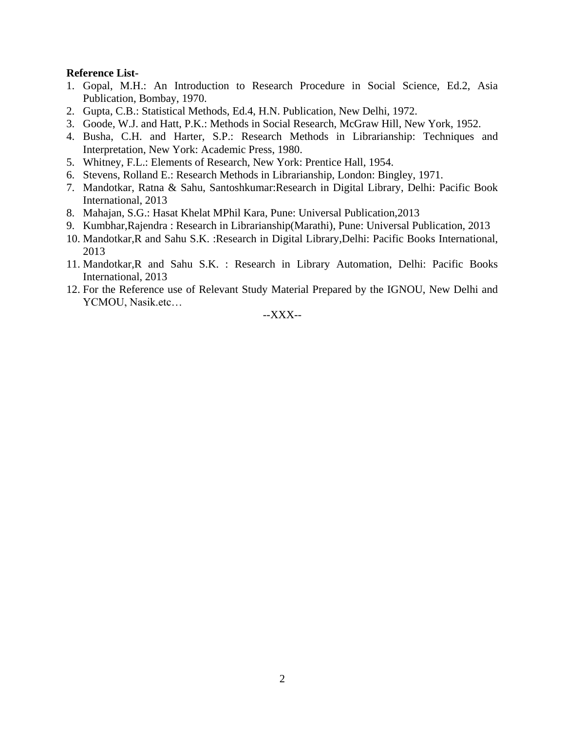#### **Reference List-**

- 1. Gopal, M.H.: An Introduction to Research Procedure in Social Science, Ed.2, Asia Publication, Bombay, 1970.
- 2. Gupta, C.B.: Statistical Methods, Ed.4, H.N. Publication, New Delhi, 1972.
- 3. Goode, W.J. and Hatt, P.K.: Methods in Social Research, McGraw Hill, New York, 1952.
- 4. Busha, C.H. and Harter, S.P.: Research Methods in Librarianship: Techniques and Interpretation, New York: Academic Press, 1980.
- 5. Whitney, F.L.: Elements of Research, New York: Prentice Hall, 1954.
- 6. Stevens, Rolland E.: Research Methods in Librarianship, London: Bingley, 1971.
- 7. Mandotkar, Ratna & Sahu, Santoshkumar:Research in Digital Library, Delhi: Pacific Book International, 2013
- 8. Mahajan, S.G.: Hasat Khelat MPhil Kara, Pune: Universal Publication,2013
- 9. Kumbhar,Rajendra : Research in Librarianship(Marathi), Pune: Universal Publication, 2013
- 10. Mandotkar,R and Sahu S.K. :Research in Digital Library,Delhi: Pacific Books International, 2013
- 11. Mandotkar,R and Sahu S.K. : Research in Library Automation, Delhi: Pacific Books International, 2013
- 12. For the Reference use of Relevant Study Material Prepared by the IGNOU, New Delhi and YCMOU, Nasik.etc…

--XXX--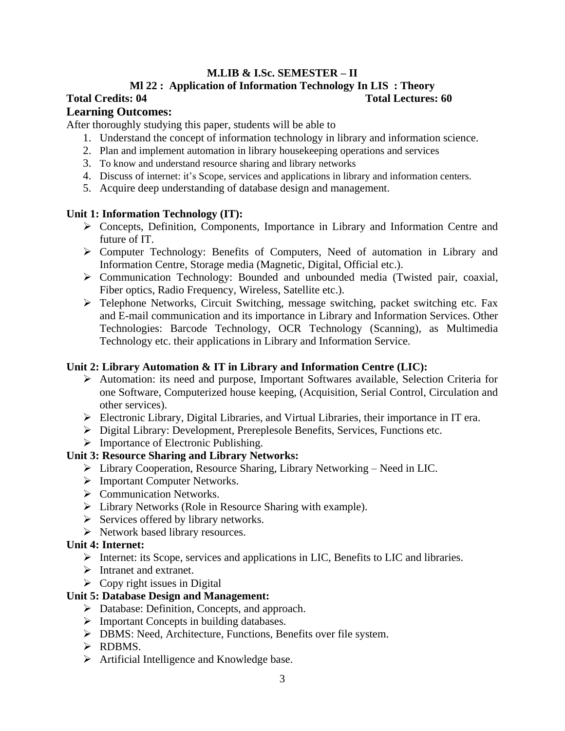### **M.LIB & I.Sc. SEMESTER – II**

### **Ml 22 : Application of Information Technology In LIS : Theory**

#### **Total Credits: 04 Total Lectures: 60**

#### **Learning Outcomes:**

After thoroughly studying this paper, students will be able to

- 1. Understand the concept of information technology in library and information science.
- 2. Plan and implement automation in library housekeeping operations and services
- 3. To know and understand resource sharing and library networks
- 4. Discuss of internet: it's Scope, services and applications in library and information centers.
- 5. Acquire deep understanding of database design and management.

#### **Unit 1: Information Technology (IT):**

- Concepts, Definition, Components, Importance in Library and Information Centre and future of IT.
- Computer Technology: Benefits of Computers, Need of automation in Library and Information Centre, Storage media (Magnetic, Digital, Official etc.).
- Communication Technology: Bounded and unbounded media (Twisted pair, coaxial, Fiber optics, Radio Frequency, Wireless, Satellite etc.).
- Telephone Networks, Circuit Switching, message switching, packet switching etc. Fax and E-mail communication and its importance in Library and Information Services. Other Technologies: Barcode Technology, OCR Technology (Scanning), as Multimedia Technology etc. their applications in Library and Information Service.

#### **Unit 2: Library Automation & IT in Library and Information Centre (LIC):**

- Automation: its need and purpose, Important Softwares available, Selection Criteria for one Software, Computerized house keeping, (Acquisition, Serial Control, Circulation and other services).
- Electronic Library, Digital Libraries, and Virtual Libraries, their importance in IT era.
- Digital Library: Development, Prereplesole Benefits, Services, Functions etc.
- $\triangleright$  Importance of Electronic Publishing.

#### **Unit 3: Resource Sharing and Library Networks:**

- Library Cooperation, Resource Sharing, Library Networking Need in LIC.
- Important Computer Networks.
- $\triangleright$  Communication Networks.
- Library Networks (Role in Resource Sharing with example).
- $\triangleright$  Services offered by library networks.
- $\triangleright$  Network based library resources.

#### **Unit 4: Internet:**

- $\triangleright$  Internet: its Scope, services and applications in LIC, Benefits to LIC and libraries.
- $\triangleright$  Intranet and extranet.
- $\triangleright$  Copy right issues in Digital

#### **Unit 5: Database Design and Management:**

- Database: Definition, Concepts, and approach.
- $\triangleright$  Important Concepts in building databases.
- DBMS: Need, Architecture, Functions, Benefits over file system.
- > RDBMS.
- $\triangleright$  Artificial Intelligence and Knowledge base.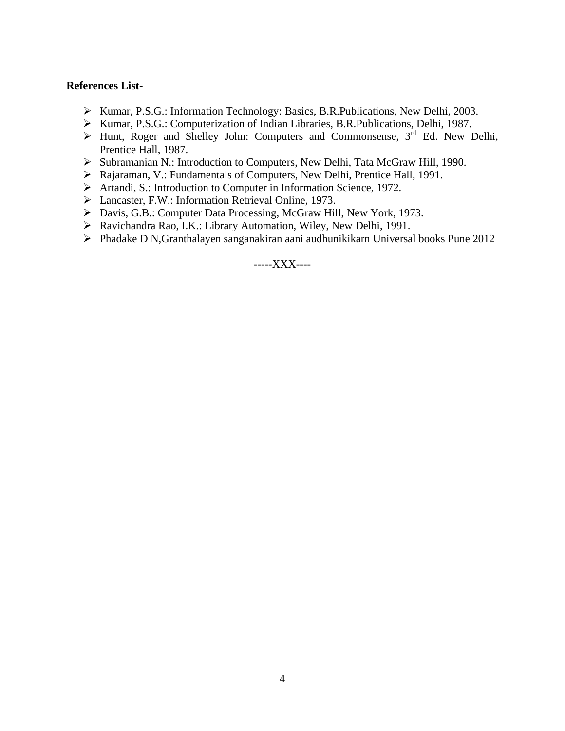#### **References List-**

- Kumar, P.S.G.: Information Technology: Basics, B.R.Publications, New Delhi, 2003.
- Kumar, P.S.G.: Computerization of Indian Libraries, B.R.Publications, Delhi, 1987.
- $\triangleright$  Hunt, Roger and Shelley John: Computers and Commonsense, 3<sup>rd</sup> Ed. New Delhi, Prentice Hall, 1987.
- Subramanian N.: Introduction to Computers, New Delhi, Tata McGraw Hill, 1990.
- Rajaraman, V.: Fundamentals of Computers, New Delhi, Prentice Hall, 1991.
- Artandi, S.: Introduction to Computer in Information Science, 1972.
- Lancaster, F.W.: Information Retrieval Online, 1973.
- Davis, G.B.: Computer Data Processing, McGraw Hill, New York, 1973.
- Ravichandra Rao, I.K.: Library Automation, Wiley, New Delhi, 1991.
- Phadake D N,Granthalayen sanganakiran aani audhunikikarn Universal books Pune 2012

-----XXX----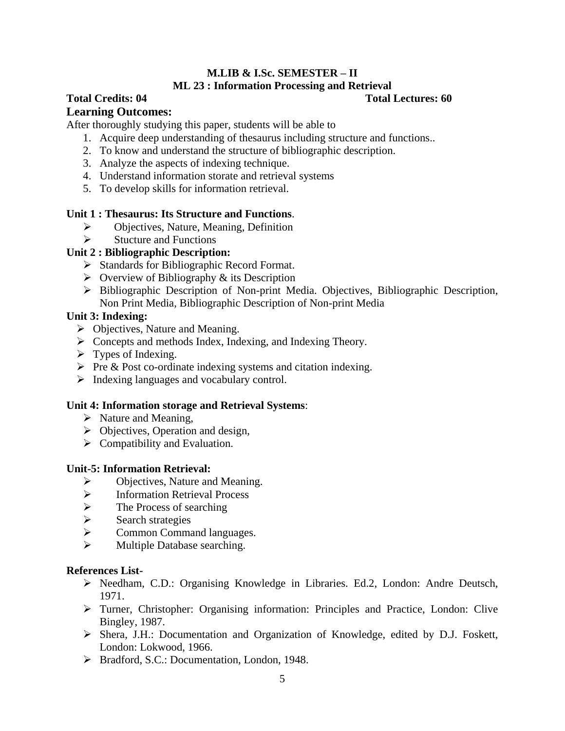### **M.LIB & I.Sc. SEMESTER – II ML 23 : Information Processing and Retrieval**

### **Total Credits: 04 Total Lectures: 60**

### **Learning Outcomes:**

After thoroughly studying this paper, students will be able to

- 1. Acquire deep understanding of thesaurus including structure and functions..
- 2. To know and understand the structure of bibliographic description.
- 3. Analyze the aspects of indexing technique.
- 4. Understand information storate and retrieval systems
- 5. To develop skills for information retrieval.

#### **Unit 1 : Thesaurus: Its Structure and Functions**.

- $\triangleright$  Objectives, Nature, Meaning, Definition
- $\triangleright$  Stucture and Functions

#### **Unit 2 : Bibliographic Description:**

- $\triangleright$  Standards for Bibliographic Record Format.
- $\triangleright$  Overview of Bibliography & its Description
- Bibliographic Description of Non-print Media. Objectives, Bibliographic Description, Non Print Media, Bibliographic Description of Non-print Media

#### **Unit 3: Indexing:**

- Objectives, Nature and Meaning.
- $\triangleright$  Concepts and methods Index, Indexing, and Indexing Theory.
- $\triangleright$  Types of Indexing.
- $\triangleright$  Pre & Post co-ordinate indexing systems and citation indexing.
- $\triangleright$  Indexing languages and vocabulary control.

#### **Unit 4: Information storage and Retrieval Systems**:

- $\triangleright$  Nature and Meaning,
- $\triangleright$  Objectives, Operation and design,
- $\triangleright$  Compatibility and Evaluation.

#### **Unit-5: Information Retrieval:**

- $\triangleright$  Objectives, Nature and Meaning.<br>  $\triangleright$  Information Retrieval Process
- Information Retrieval Process
- $\triangleright$  The Process of searching
- $\triangleright$  Search strategies
- $\triangleright$  Common Command languages.
- Multiple Database searching.

#### **References List-**

- Needham, C.D.: Organising Knowledge in Libraries. Ed.2, London: Andre Deutsch, 1971.
- Turner, Christopher: Organising information: Principles and Practice, London: Clive Bingley, 1987.
- Shera, J.H.: Documentation and Organization of Knowledge, edited by D.J. Foskett, London: Lokwood, 1966.
- Bradford, S.C.: Documentation, London, 1948.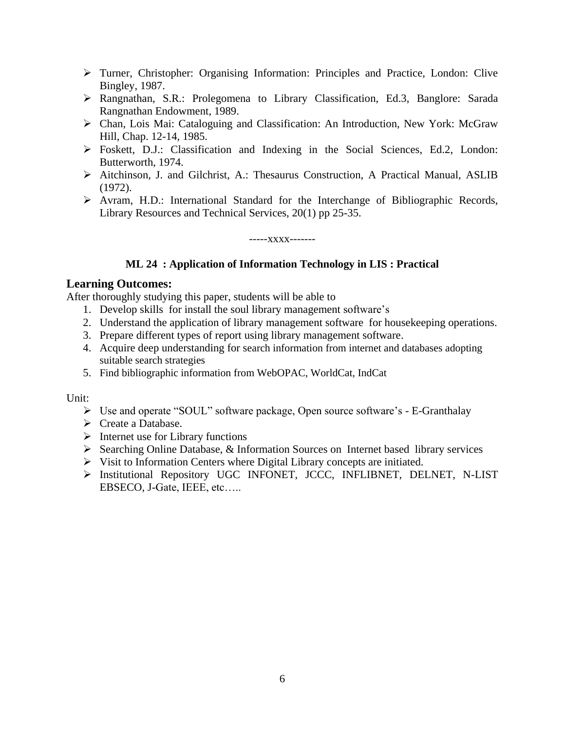- Turner, Christopher: Organising Information: Principles and Practice, London: Clive Bingley, 1987.
- Rangnathan, S.R.: Prolegomena to Library Classification, Ed.3, Banglore: Sarada Rangnathan Endowment, 1989.
- Chan, Lois Mai: Cataloguing and Classification: An Introduction, New York: McGraw Hill, Chap. 12-14, 1985.
- Foskett, D.J.: Classification and Indexing in the Social Sciences, Ed.2, London: Butterworth, 1974.
- Aitchinson, J. and Gilchrist, A.: Thesaurus Construction, A Practical Manual, ASLIB (1972).
- Avram, H.D.: International Standard for the Interchange of Bibliographic Records, Library Resources and Technical Services, 20(1) pp 25-35.

-----xxxx-------

#### **ML 24 : Application of Information Technology in LIS : Practical**

#### **Learning Outcomes:**

After thoroughly studying this paper, students will be able to

- 1. Develop skills for install the soul library management software's
- 2. Understand the application of library management software for housekeeping operations.
- 3. Prepare different types of report using library management software.
- 4. Acquire deep understanding for search information from internet and databases adopting suitable search strategies
- 5. Find bibliographic information from WebOPAC, WorldCat, IndCat

Unit:

- Use and operate "SOUL" software package, Open source software's E-Granthalay
- $\triangleright$  Create a Database.
- $\triangleright$  Internet use for Library functions
- $\triangleright$  Searching Online Database, & Information Sources on Internet based library services
- $\triangleright$  Visit to Information Centers where Digital Library concepts are initiated.
- > Institutional Repository UGC INFONET, JCCC, INFLIBNET, DELNET, N-LIST EBSECO, J-Gate, IEEE, etc…..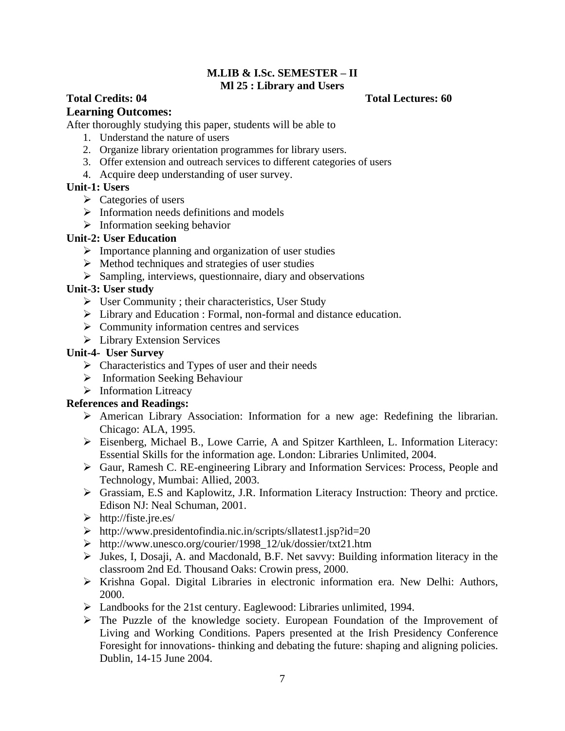#### **M.LIB & I.Sc. SEMESTER – II Ml 25 : Library and Users**

# **Total Credits: 04 Total Lectures: 60**

#### **Learning Outcomes:**

After thoroughly studying this paper, students will be able to

- 1. Understand the nature of users
- 2. Organize library orientation programmes for library users.
- 3. Offer extension and outreach services to different categories of users
- 4. Acquire deep understanding of user survey.

#### **Unit-1: Users**

- $\triangleright$  Categories of users
- $\triangleright$  Information needs definitions and models
- $\triangleright$  Information seeking behavior

#### **Unit-2: User Education**

- $\triangleright$  Importance planning and organization of user studies
- $\triangleright$  Method techniques and strategies of user studies
- $\triangleright$  Sampling, interviews, questionnaire, diary and observations

#### **Unit-3: User study**

- User Community ; their characteristics, User Study
- Library and Education : Formal, non-formal and distance education.
- $\triangleright$  Community information centres and services
- **Extension Services**

#### **Unit-4- User Survey**

- $\triangleright$  Characteristics and Types of user and their needs
- $\triangleright$  Information Seeking Behaviour
- $\triangleright$  Information Litreacy

#### **References and Readings:**

- American Library Association: Information for a new age: Redefining the librarian. Chicago: ALA, 1995.
- Eisenberg, Michael B., Lowe Carrie, A and Spitzer Karthleen, L. Information Literacy: Essential Skills for the information age. London: Libraries Unlimited, 2004.
- Gaur, Ramesh C. RE-engineering Library and Information Services: Process, People and Technology, Mumbai: Allied, 2003.
- Grassiam, E.S and Kaplowitz, J.R. Information Literacy Instruction: Theory and prctice. Edison NJ: Neal Schuman, 2001.
- $\triangleright$  http://fiste.jre.es/
- http://www.presidentofindia.nic.in/scripts/sllatest1.jsp?id=20
- http://www.unesco.org/courier/1998\_12/uk/dossier/txt21.htm
- $\triangleright$  Jukes, I, Dosaji, A. and Macdonald, B.F. Net savvy: Building information literacy in the classroom 2nd Ed. Thousand Oaks: Crowin press, 2000.
- Krishna Gopal. Digital Libraries in electronic information era. New Delhi: Authors, 2000.
- Landbooks for the 21st century. Eaglewood: Libraries unlimited, 1994.
- $\triangleright$  The Puzzle of the knowledge society. European Foundation of the Improvement of Living and Working Conditions. Papers presented at the Irish Presidency Conference Foresight for innovations- thinking and debating the future: shaping and aligning policies. Dublin, 14-15 June 2004.